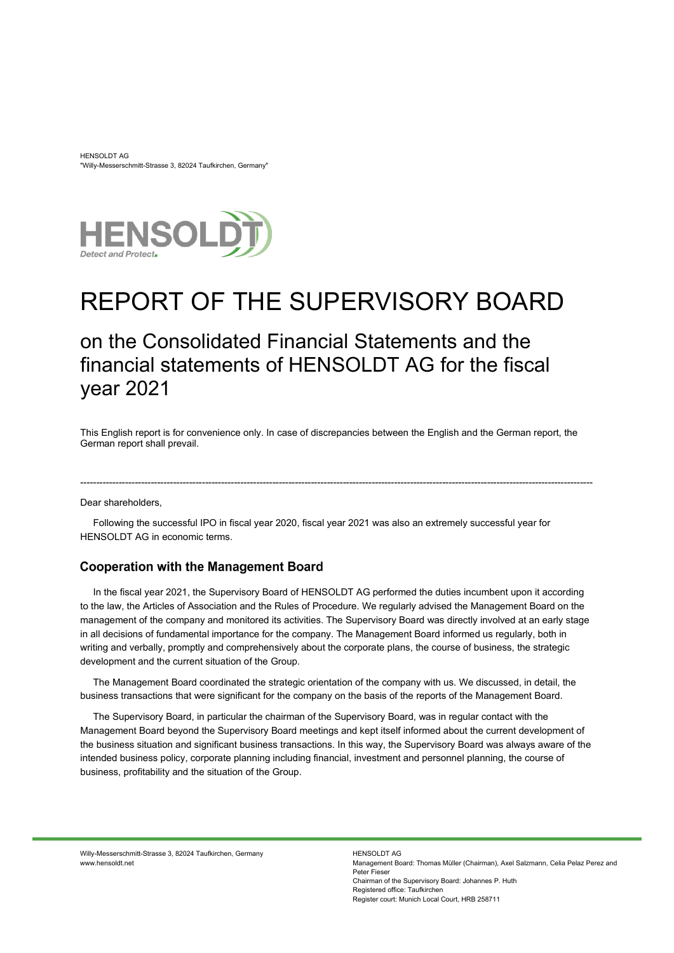HENSOLDT AG "Willy-Messerschmitt-Strasse 3, 82024 Taufkirchen, Germany"



# REPORT OF THE SUPERVISORY BOARD

# on the Consolidated Financial Statements and the financial statements of HENSOLDT AG for the fiscal year 2021

This English report is for convenience only. In case of discrepancies between the English and the German report, the German report shall prevail.

----------------------------------------------------------------------------------------------------------------------------------------------------------------

Dear shareholders,

Following the successful IPO in fiscal year 2020, fiscal year 2021 was also an extremely successful year for HENSOLDT AG in economic terms.

#### **Cooperation with the Management Board**

In the fiscal year 2021, the Supervisory Board of HENSOLDT AG performed the duties incumbent upon it according to the law, the Articles of Association and the Rules of Procedure. We regularly advised the Management Board on the management of the company and monitored its activities. The Supervisory Board was directly involved at an early stage in all decisions of fundamental importance for the company. The Management Board informed us regularly, both in writing and verbally, promptly and comprehensively about the corporate plans, the course of business, the strategic development and the current situation of the Group.

The Management Board coordinated the strategic orientation of the company with us. We discussed, in detail, the business transactions that were significant for the company on the basis of the reports of the Management Board.

The Supervisory Board, in particular the chairman of the Supervisory Board, was in regular contact with the Management Board beyond the Supervisory Board meetings and kept itself informed about the current development of the business situation and significant business transactions. In this way, the Supervisory Board was always aware of the intended business policy, corporate planning including financial, investment and personnel planning, the course of business, profitability and the situation of the Group.

Willy-Messerschmitt-Strasse 3, 82024 Taufkirchen, Germany www.hensoldt.net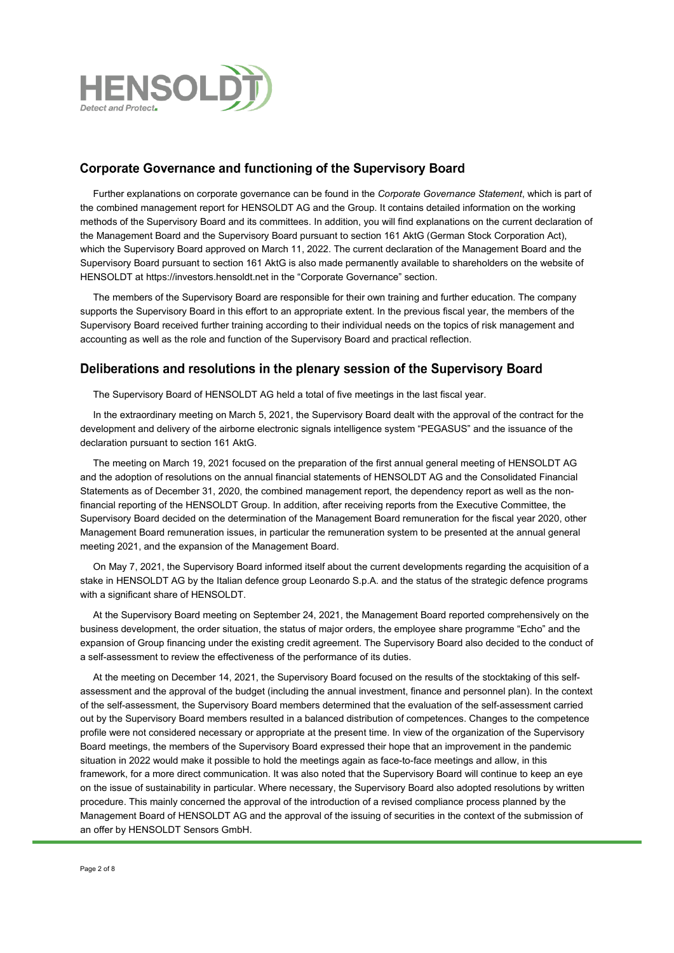

## **Corporate Governance and functioning of the Supervisory Board**

Further explanations on corporate governance can be found in the *Corporate Governance Statement*, which is part of the combined management report for HENSOLDT AG and the Group. It contains detailed information on the working methods of the Supervisory Board and its committees. In addition, you will find explanations on the current declaration of the Management Board and the Supervisory Board pursuant to section 161 AktG (German Stock Corporation Act), which the Supervisory Board approved on March 11, 2022. The current declaration of the Management Board and the Supervisory Board pursuant to section 161 AktG is also made permanently available to shareholders on the website of HENSOLDT at [https://investors.hensoldt.net](https://investors.hensoldt.net/) in the "Corporate Governance" section.

The members of the Supervisory Board are responsible for their own training and further education. The company supports the Supervisory Board in this effort to an appropriate extent. In the previous fiscal year, the members of the Supervisory Board received further training according to their individual needs on the topics of risk management and accounting as well as the role and function of the Supervisory Board and practical reflection.

#### Deliberations and resolutions in the plenary session of the Supervisory Board

The Supervisory Board of HENSOLDT AG held a total of five meetings in the last fiscal year.

In the extraordinary meeting on March 5, 2021, the Supervisory Board dealt with the approval of the contract for the development and delivery of the airborne electronic signals intelligence system "PEGASUS" and the issuance of the declaration pursuant to section 161 AktG.

The meeting on March 19, 2021 focused on the preparation of the first annual general meeting of HENSOLDT AG and the adoption of resolutions on the annual financial statements of HENSOLDT AG and the Consolidated Financial Statements as of December 31, 2020, the combined management report, the dependency report as well as the nonfinancial reporting of the HENSOLDT Group. In addition, after receiving reports from the Executive Committee, the Supervisory Board decided on the determination of the Management Board remuneration for the fiscal year 2020, other Management Board remuneration issues, in particular the remuneration system to be presented at the annual general meeting 2021, and the expansion of the Management Board.

On May 7, 2021, the Supervisory Board informed itself about the current developments regarding the acquisition of a stake in HENSOLDT AG by the Italian defence group Leonardo S.p.A. and the status of the strategic defence programs with a significant share of HENSOLDT.

At the Supervisory Board meeting on September 24, 2021, the Management Board reported comprehensively on the business development, the order situation, the status of major orders, the employee share programme "Echo" and the expansion of Group financing under the existing credit agreement. The Supervisory Board also decided to the conduct of a self-assessment to review the effectiveness of the performance of its duties.

At the meeting on December 14, 2021, the Supervisory Board focused on the results of the stocktaking of this selfassessment and the approval of the budget (including the annual investment, finance and personnel plan). In the context of the self-assessment, the Supervisory Board members determined that the evaluation of the self-assessment carried out by the Supervisory Board members resulted in a balanced distribution of competences. Changes to the competence profile were not considered necessary or appropriate at the present time. In view of the organization of the Supervisory Board meetings, the members of the Supervisory Board expressed their hope that an improvement in the pandemic situation in 2022 would make it possible to hold the meetings again as face-to-face meetings and allow, in this framework, for a more direct communication. It was also noted that the Supervisory Board will continue to keep an eye on the issue of sustainability in particular. Where necessary, the Supervisory Board also adopted resolutions by written procedure. This mainly concerned the approval of the introduction of a revised compliance process planned by the Management Board of HENSOLDT AG and the approval of the issuing of securities in the context of the submission of an offer by HENSOLDT Sensors GmbH.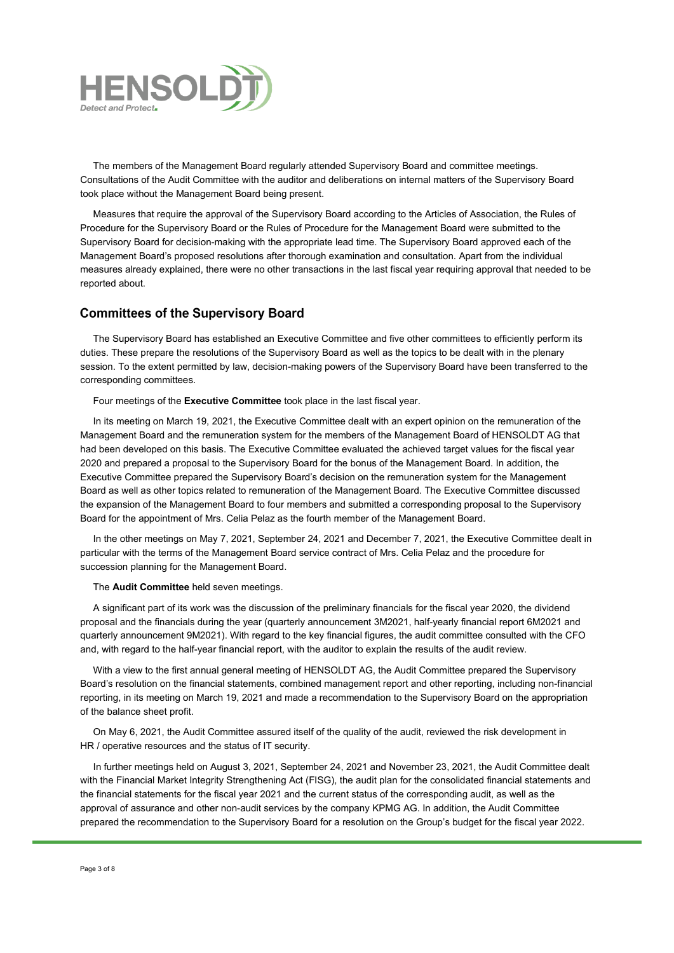

The members of the Management Board regularly attended Supervisory Board and committee meetings. Consultations of the Audit Committee with the auditor and deliberations on internal matters of the Supervisory Board took place without the Management Board being present.

Measures that require the approval of the Supervisory Board according to the Articles of Association, the Rules of Procedure for the Supervisory Board or the Rules of Procedure for the Management Board were submitted to the Supervisory Board for decision-making with the appropriate lead time. The Supervisory Board approved each of the Management Board's proposed resolutions after thorough examination and consultation. Apart from the individual measures already explained, there were no other transactions in the last fiscal year requiring approval that needed to be reported about.

#### **Committees of the Supervisory Board**

The Supervisory Board has established an Executive Committee and five other committees to efficiently perform its duties. These prepare the resolutions of the Supervisory Board as well as the topics to be dealt with in the plenary session. To the extent permitted by law, decision-making powers of the Supervisory Board have been transferred to the corresponding committees.

Four meetings of the **Executive Committee** took place in the last fiscal year.

In its meeting on March 19, 2021, the Executive Committee dealt with an expert opinion on the remuneration of the Management Board and the remuneration system for the members of the Management Board of HENSOLDT AG that had been developed on this basis. The Executive Committee evaluated the achieved target values for the fiscal year 2020 and prepared a proposal to the Supervisory Board for the bonus of the Management Board. In addition, the Executive Committee prepared the Supervisory Board's decision on the remuneration system for the Management Board as well as other topics related to remuneration of the Management Board. The Executive Committee discussed the expansion of the Management Board to four members and submitted a corresponding proposal to the Supervisory Board for the appointment of Mrs. Celia Pelaz as the fourth member of the Management Board.

In the other meetings on May 7, 2021, September 24, 2021 and December 7, 2021, the Executive Committee dealt in particular with the terms of the Management Board service contract of Mrs. Celia Pelaz and the procedure for succession planning for the Management Board.

The **Audit Committee** held seven meetings.

A significant part of its work was the discussion of the preliminary financials for the fiscal year 2020, the dividend proposal and the financials during the year (quarterly announcement 3M2021, half-yearly financial report 6M2021 and quarterly announcement 9M2021). With regard to the key financial figures, the audit committee consulted with the CFO and, with regard to the half-year financial report, with the auditor to explain the results of the audit review.

With a view to the first annual general meeting of HENSOLDT AG, the Audit Committee prepared the Supervisory Board's resolution on the financial statements, combined management report and other reporting, including non-financial reporting, in its meeting on March 19, 2021 and made a recommendation to the Supervisory Board on the appropriation of the balance sheet profit.

On May 6, 2021, the Audit Committee assured itself of the quality of the audit, reviewed the risk development in HR / operative resources and the status of IT security.

In further meetings held on August 3, 2021, September 24, 2021 and November 23, 2021, the Audit Committee dealt with the Financial Market Integrity Strengthening Act (FISG), the audit plan for the consolidated financial statements and the financial statements for the fiscal year 2021 and the current status of the corresponding audit, as well as the approval of assurance and other non-audit services by the company KPMG AG. In addition, the Audit Committee prepared the recommendation to the Supervisory Board for a resolution on the Group's budget for the fiscal year 2022.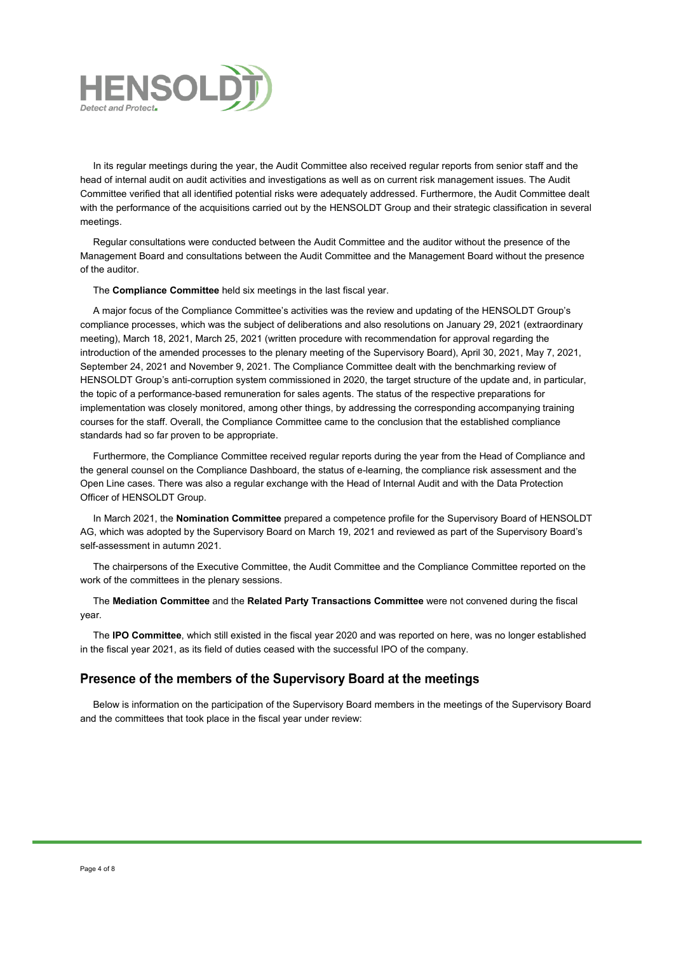

In its regular meetings during the year, the Audit Committee also received regular reports from senior staff and the head of internal audit on audit activities and investigations as well as on current risk management issues. The Audit Committee verified that all identified potential risks were adequately addressed. Furthermore, the Audit Committee dealt with the performance of the acquisitions carried out by the HENSOLDT Group and their strategic classification in several meetings.

Regular consultations were conducted between the Audit Committee and the auditor without the presence of the Management Board and consultations between the Audit Committee and the Management Board without the presence of the auditor.

The **Compliance Committee** held six meetings in the last fiscal year.

A major focus of the Compliance Committee's activities was the review and updating of the HENSOLDT Group's compliance processes, which was the subject of deliberations and also resolutions on January 29, 2021 (extraordinary meeting), March 18, 2021, March 25, 2021 (written procedure with recommendation for approval regarding the introduction of the amended processes to the plenary meeting of the Supervisory Board), April 30, 2021, May 7, 2021, September 24, 2021 and November 9, 2021. The Compliance Committee dealt with the benchmarking review of HENSOLDT Group's anti-corruption system commissioned in 2020, the target structure of the update and, in particular, the topic of a performance-based remuneration for sales agents. The status of the respective preparations for implementation was closely monitored, among other things, by addressing the corresponding accompanying training courses for the staff. Overall, the Compliance Committee came to the conclusion that the established compliance standards had so far proven to be appropriate.

Furthermore, the Compliance Committee received regular reports during the year from the Head of Compliance and the general counsel on the Compliance Dashboard, the status of e-learning, the compliance risk assessment and the Open Line cases. There was also a regular exchange with the Head of Internal Audit and with the Data Protection Officer of HENSOLDT Group.

In March 2021, the **Nomination Committee** prepared a competence profile for the Supervisory Board of HENSOLDT AG, which was adopted by the Supervisory Board on March 19, 2021 and reviewed as part of the Supervisory Board's self-assessment in autumn 2021.

The chairpersons of the Executive Committee, the Audit Committee and the Compliance Committee reported on the work of the committees in the plenary sessions.

The **Mediation Committee** and the **Related Party Transactions Committee** were not convened during the fiscal year.

The **IPO Committee**, which still existed in the fiscal year 2020 and was reported on here, was no longer established in the fiscal year 2021, as its field of duties ceased with the successful IPO of the company.

#### Presence of the members of the Supervisory Board at the meetings

Below is information on the participation of the Supervisory Board members in the meetings of the Supervisory Board and the committees that took place in the fiscal year under review: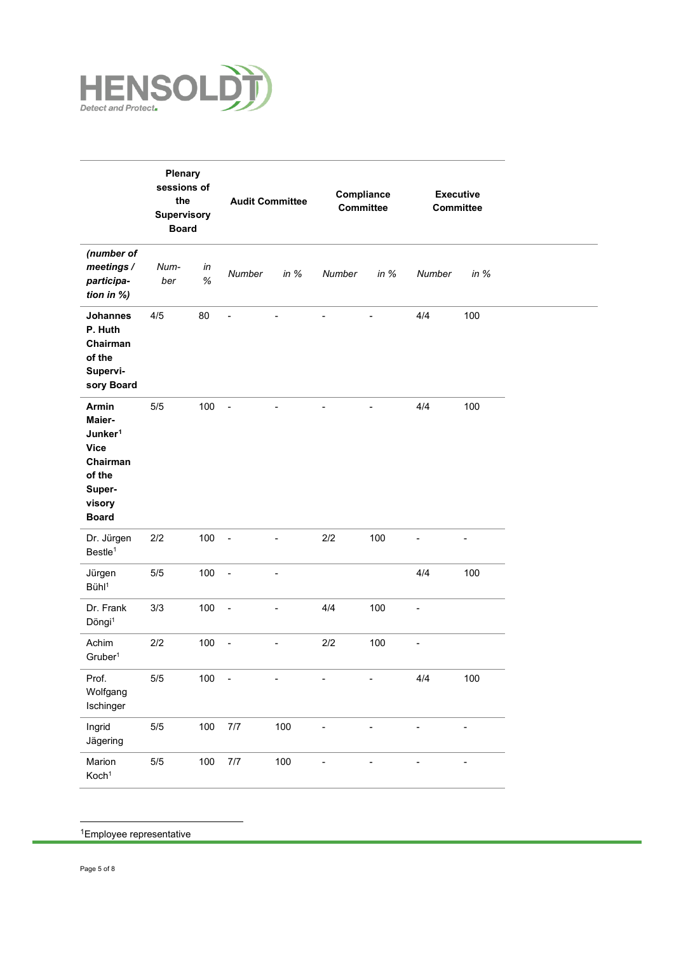

|                                                                                                                 | Plenary<br>sessions of<br>the<br>Supervisory<br><b>Board</b> |            |                          | <b>Audit Committee</b>   |                | Compliance<br>Committee |                          | <b>Executive</b><br><b>Committee</b> |
|-----------------------------------------------------------------------------------------------------------------|--------------------------------------------------------------|------------|--------------------------|--------------------------|----------------|-------------------------|--------------------------|--------------------------------------|
| (number of<br>meetings /<br>participa-<br>tion in %)                                                            | Num-<br>ber                                                  | in<br>$\%$ | Number                   | in $%$                   | Number         | in $%$                  | Number                   | in $%$                               |
| <b>Johannes</b><br>P. Huth<br>Chairman<br>of the<br>Supervi-<br>sory Board                                      | 4/5                                                          | 80         | $\overline{a}$           | $\blacksquare$           | $\blacksquare$ | ä,                      | 4/4                      | 100                                  |
| Armin<br>Maier-<br>Junker <sup>1</sup><br><b>Vice</b><br>Chairman<br>of the<br>Super-<br>visory<br><b>Board</b> | $5/5$                                                        | 100        | $\sim$                   |                          |                |                         | 4/4                      | 100                                  |
| Dr. Jürgen<br>Bestle <sup>1</sup>                                                                               | 2/2                                                          | 100        | $\overline{\phantom{a}}$ | ä,                       | 2/2            | 100                     | L,                       | ٠                                    |
| Jürgen<br>Bühl <sup>1</sup>                                                                                     | 5/5                                                          | 100        | $\sim$                   | $\overline{\phantom{a}}$ |                |                         | 4/4                      | 100                                  |
| Dr. Frank<br>Döngi <sup>1</sup>                                                                                 | 3/3                                                          | 100        | $\sim$                   | $\overline{\phantom{a}}$ | 4/4            | 100                     | -                        |                                      |
| Achim<br>Gruber <sup>1</sup>                                                                                    | 2/2                                                          | 100        | $\overline{\phantom{a}}$ | $\blacksquare$           | 2/2            | 100                     | $\overline{\phantom{0}}$ |                                      |
| Prof.<br>Wolfgang<br>Ischinger                                                                                  | $5/5$                                                        | 100        | -                        |                          |                |                         | 4/4                      | 100                                  |
| Ingrid<br>Jägering                                                                                              | $5/5$                                                        | 100        | $7/7$                    | 100                      | ÷,             | $\overline{a}$          | -                        | $\overline{\phantom{a}}$             |
| Marion<br>Koch <sup>1</sup>                                                                                     | $5/5$                                                        | 100        | $7/7$                    | 100                      |                |                         |                          | ÷                                    |

<span id="page-4-0"></span>1Employee representative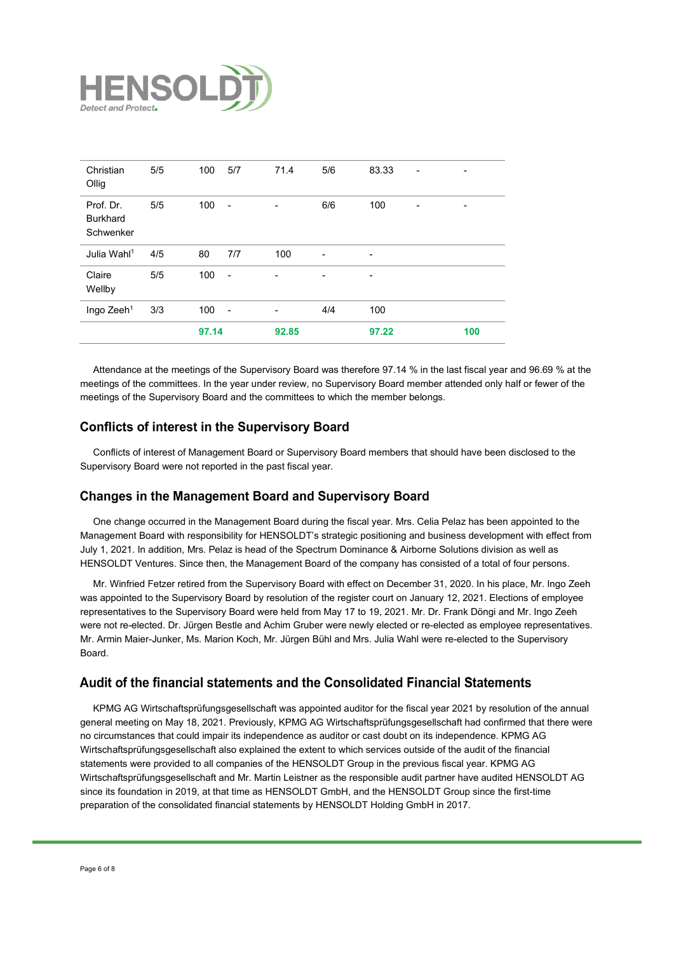

|                                           |     | 97.14 |                          | 92.85                        |                          | 97.22 |   | 100                      |
|-------------------------------------------|-----|-------|--------------------------|------------------------------|--------------------------|-------|---|--------------------------|
| Ingo Zeeh <sup>1</sup>                    | 3/3 | 100   | $\sim$                   | $\qquad \qquad \blacksquare$ | 4/4                      | 100   |   |                          |
| Claire<br>Wellby                          | 5/5 | 100   | $\overline{\phantom{a}}$ | $\overline{a}$               |                          | -     |   |                          |
| Julia Wahl <sup>1</sup>                   | 4/5 | 80    | 7/7                      | 100                          | $\overline{\phantom{a}}$ | -     |   |                          |
| Prof. Dr.<br><b>Burkhard</b><br>Schwenker | 5/5 | 100   | $\overline{\phantom{a}}$ | $\overline{\phantom{a}}$     | 6/6                      | 100   | - | $\overline{\phantom{a}}$ |
| Christian<br>Ollig                        | 5/5 | 100   | 5/7                      | 71.4                         | 5/6                      | 83.33 | ۰ | $\overline{\phantom{a}}$ |

Attendance at the meetings of the Supervisory Board was therefore 97.14 % in the last fiscal year and 96.69 % at the meetings of the committees. In the year under review, no Supervisory Board member attended only half or fewer of the meetings of the Supervisory Board and the committees to which the member belongs.

### **Conflicts of interest in the Supervisory Board**

Conflicts of interest of Management Board or Supervisory Board members that should have been disclosed to the Supervisory Board were not reported in the past fiscal year.

#### **Changes in the Management Board and Supervisory Board**

One change occurred in the Management Board during the fiscal year. Mrs. Celia Pelaz has been appointed to the Management Board with responsibility for HENSOLDT's strategic positioning and business development with effect from July 1, 2021. In addition, Mrs. Pelaz is head of the Spectrum Dominance & Airborne Solutions division as well as HENSOLDT Ventures. Since then, the Management Board of the company has consisted of a total of four persons.

Mr. Winfried Fetzer retired from the Supervisory Board with effect on December 31, 2020. In his place, Mr. Ingo Zeeh was appointed to the Supervisory Board by resolution of the register court on January 12, 2021. Elections of employee representatives to the Supervisory Board were held from May 17 to 19, 2021. Mr. Dr. Frank Döngi and Mr. Ingo Zeeh were not re-elected. Dr. Jürgen Bestle and Achim Gruber were newly elected or re-elected as employee representatives. Mr. Armin Maier-Junker, Ms. Marion Koch, Mr. Jürgen Bühl and Mrs. Julia Wahl were re-elected to the Supervisory **Board** 

#### Audit of the financial statements and the Consolidated Financial Statements

KPMG AG Wirtschaftsprüfungsgesellschaft was appointed auditor for the fiscal year 2021 by resolution of the annual general meeting on May 18, 2021. Previously, KPMG AG Wirtschaftsprüfungsgesellschaft had confirmed that there were no circumstances that could impair its independence as auditor or cast doubt on its independence. KPMG AG Wirtschaftsprüfungsgesellschaft also explained the extent to which services outside of the audit of the financial statements were provided to all companies of the HENSOLDT Group in the previous fiscal year. KPMG AG Wirtschaftsprüfungsgesellschaft and Mr. Martin Leistner as the responsible audit partner have audited HENSOLDT AG since its foundation in 2019, at that time as HENSOLDT GmbH, and the HENSOLDT Group since the first-time preparation of the consolidated financial statements by HENSOLDT Holding GmbH in 2017.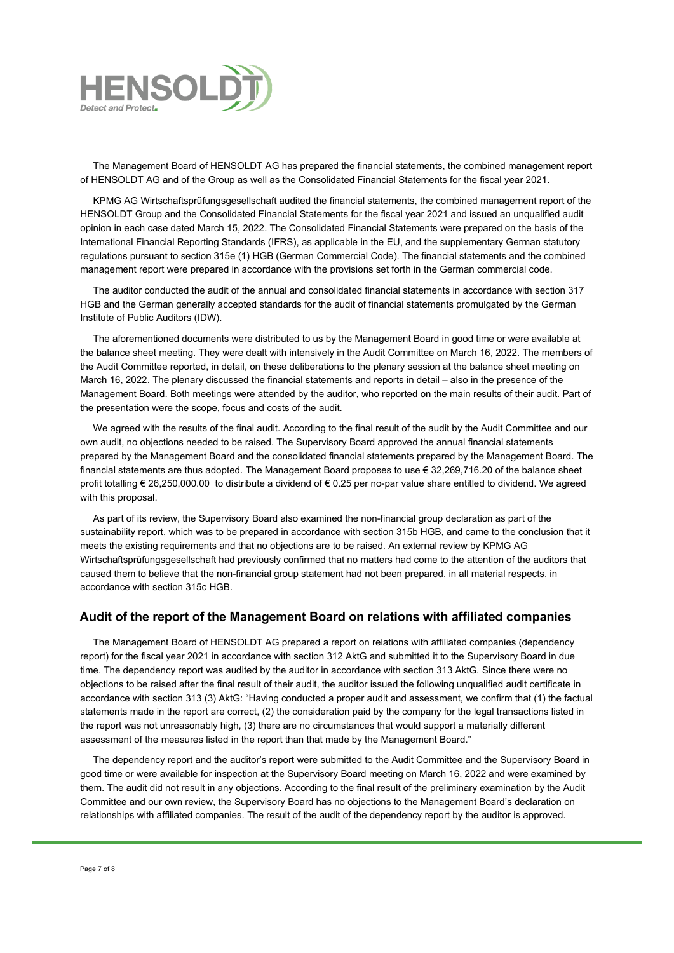

The Management Board of HENSOLDT AG has prepared the financial statements, the combined management report of HENSOLDT AG and of the Group as well as the Consolidated Financial Statements for the fiscal year 2021.

KPMG AG Wirtschaftsprüfungsgesellschaft audited the financial statements, the combined management report of the HENSOLDT Group and the Consolidated Financial Statements for the fiscal year 2021 and issued an unqualified audit opinion in each case dated March 15, 2022. The Consolidated Financial Statements were prepared on the basis of the International Financial Reporting Standards (IFRS), as applicable in the EU, and the supplementary German statutory regulations pursuant to section 315e (1) HGB (German Commercial Code). The financial statements and the combined management report were prepared in accordance with the provisions set forth in the German commercial code.

The auditor conducted the audit of the annual and consolidated financial statements in accordance with section 317 HGB and the German generally accepted standards for the audit of financial statements promulgated by the German Institute of Public Auditors (IDW).

The aforementioned documents were distributed to us by the Management Board in good time or were available at the balance sheet meeting. They were dealt with intensively in the Audit Committee on March 16, 2022. The members of the Audit Committee reported, in detail, on these deliberations to the plenary session at the balance sheet meeting on March 16, 2022. The plenary discussed the financial statements and reports in detail – also in the presence of the Management Board. Both meetings were attended by the auditor, who reported on the main results of their audit. Part of the presentation were the scope, focus and costs of the audit.

We agreed with the results of the final audit. According to the final result of the audit by the Audit Committee and our own audit, no objections needed to be raised. The Supervisory Board approved the annual financial statements prepared by the Management Board and the consolidated financial statements prepared by the Management Board. The financial statements are thus adopted. The Management Board proposes to use € 32,269,716.20 of the balance sheet profit totalling € 26,250,000.00 to distribute a dividend of € 0.25 per no-par value share entitled to dividend. We agreed with this proposal.

As part of its review, the Supervisory Board also examined the non-financial group declaration as part of the sustainability report, which was to be prepared in accordance with section 315b HGB, and came to the conclusion that it meets the existing requirements and that no objections are to be raised. An external review by KPMG AG Wirtschaftsprüfungsgesellschaft had previously confirmed that no matters had come to the attention of the auditors that caused them to believe that the non-financial group statement had not been prepared, in all material respects, in accordance with section 315c HGB.

#### Audit of the report of the Management Board on relations with affiliated companies

The Management Board of HENSOLDT AG prepared a report on relations with affiliated companies (dependency report) for the fiscal year 2021 in accordance with section 312 AktG and submitted it to the Supervisory Board in due time. The dependency report was audited by the auditor in accordance with section 313 AktG. Since there were no objections to be raised after the final result of their audit, the auditor issued the following unqualified audit certificate in accordance with section 313 (3) AktG: "Having conducted a proper audit and assessment, we confirm that (1) the factual statements made in the report are correct, (2) the consideration paid by the company for the legal transactions listed in the report was not unreasonably high, (3) there are no circumstances that would support a materially different assessment of the measures listed in the report than that made by the Management Board."

The dependency report and the auditor's report were submitted to the Audit Committee and the Supervisory Board in good time or were available for inspection at the Supervisory Board meeting on March 16, 2022 and were examined by them. The audit did not result in any objections. According to the final result of the preliminary examination by the Audit Committee and our own review, the Supervisory Board has no objections to the Management Board's declaration on relationships with affiliated companies. The result of the audit of the dependency report by the auditor is approved.